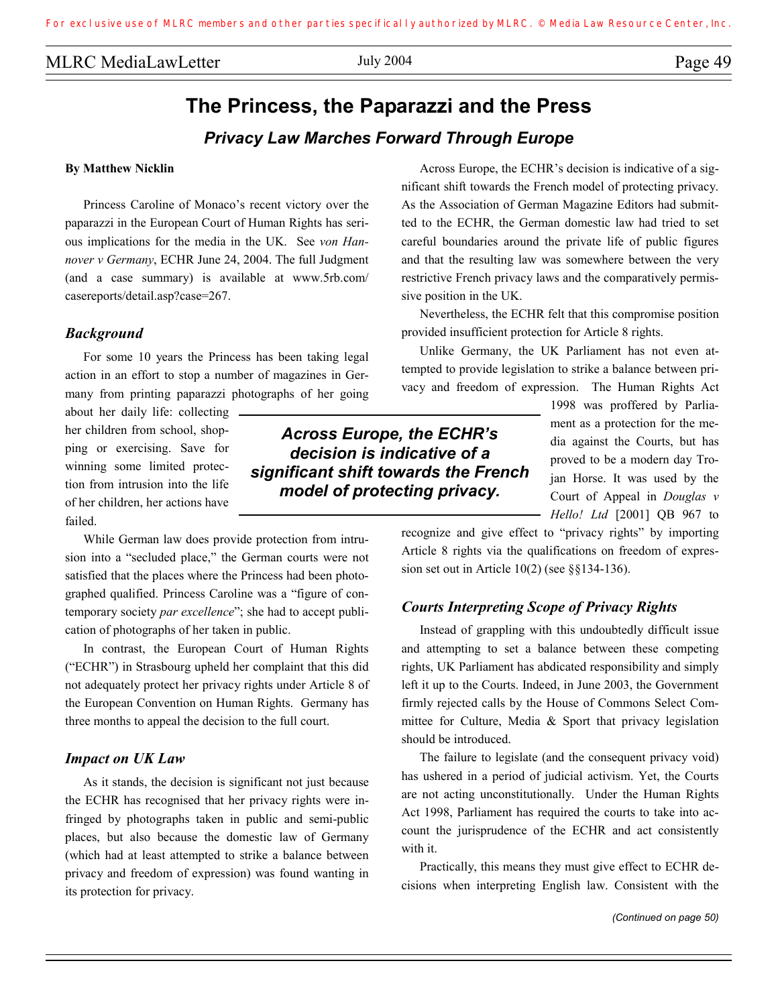# **The Princess, the Paparazzi and the Press**  *Privacy Law Marches Forward Through Europe*

#### **By Matthew Nicklin**

 Princess Caroline of Monaco's recent victory over the paparazzi in the European Court of Human Rights has serious implications for the media in the UK. See *von Hannover v Germany*, ECHR June 24, 2004. The full Judgment (and a case summary) is available at www.5rb.com/ casereports/detail.asp?case=267.

#### *Background*

 For some 10 years the Princess has been taking legal action in an effort to stop a number of magazines in Germany from printing paparazzi photographs of her going

about her daily life: collecting her children from school, shopping or exercising. Save for winning some limited protection from intrusion into the life of her children, her actions have failed.

 While German law does provide protection from intrusion into a "secluded place," the German courts were not satisfied that the places where the Princess had been photographed qualified. Princess Caroline was a "figure of contemporary society *par excellence*"; she had to accept publication of photographs of her taken in public.

 In contrast, the European Court of Human Rights ("ECHR") in Strasbourg upheld her complaint that this did not adequately protect her privacy rights under Article 8 of the European Convention on Human Rights. Germany has three months to appeal the decision to the full court.

#### *Impact on UK Law*

 As it stands, the decision is significant not just because the ECHR has recognised that her privacy rights were infringed by photographs taken in public and semi-public places, but also because the domestic law of Germany (which had at least attempted to strike a balance between privacy and freedom of expression) was found wanting in its protection for privacy.

 Across Europe, the ECHR's decision is indicative of a significant shift towards the French model of protecting privacy. As the Association of German Magazine Editors had submitted to the ECHR, the German domestic law had tried to set careful boundaries around the private life of public figures and that the resulting law was somewhere between the very restrictive French privacy laws and the comparatively permissive position in the UK.

 Nevertheless, the ECHR felt that this compromise position provided insufficient protection for Article 8 rights.

 Unlike Germany, the UK Parliament has not even attempted to provide legislation to strike a balance between privacy and freedom of expression. The Human Rights Act

> 1998 was proffered by Parliament as a protection for the media against the Courts, but has proved to be a modern day Trojan Horse. It was used by the Court of Appeal in *Douglas v Hello! Ltd* [2001] QB 967 to

recognize and give effect to "privacy rights" by importing Article 8 rights via the qualifications on freedom of expression set out in Article 10(2) (see §§134-136).

#### *Courts Interpreting Scope of Privacy Rights*

 Instead of grappling with this undoubtedly difficult issue and attempting to set a balance between these competing rights, UK Parliament has abdicated responsibility and simply left it up to the Courts. Indeed, in June 2003, the Government firmly rejected calls by the House of Commons Select Committee for Culture, Media & Sport that privacy legislation should be introduced.

 The failure to legislate (and the consequent privacy void) has ushered in a period of judicial activism. Yet, the Courts are not acting unconstitutionally. Under the Human Rights Act 1998, Parliament has required the courts to take into account the jurisprudence of the ECHR and act consistently with it.

 Practically, this means they must give effect to ECHR decisions when interpreting English law. Consistent with the

# *Across Europe, the ECHR's decision is indicative of a significant shift towards the French model of protecting privacy.*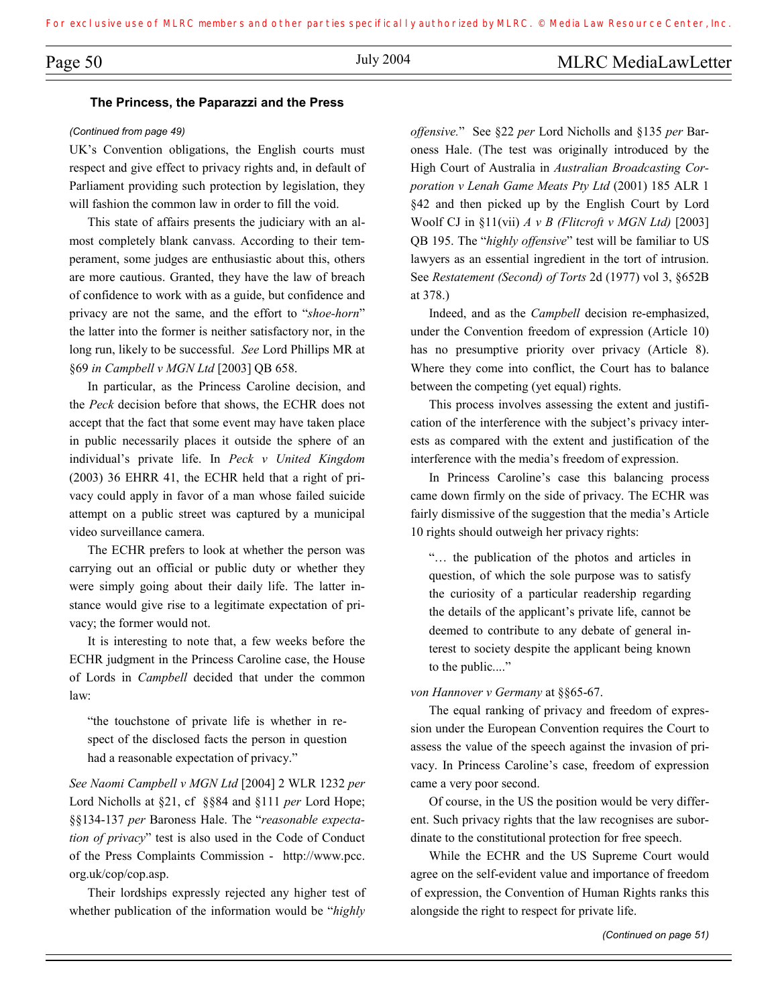# Page 50 July 2004 July 2004 MLRC MediaLawLetter

#### **The Princess, the Paparazzi and the Press**

#### *(Continued from page 49)*

UK's Convention obligations, the English courts must respect and give effect to privacy rights and, in default of Parliament providing such protection by legislation, they will fashion the common law in order to fill the void.

 This state of affairs presents the judiciary with an almost completely blank canvass. According to their temperament, some judges are enthusiastic about this, others are more cautious. Granted, they have the law of breach of confidence to work with as a guide, but confidence and privacy are not the same, and the effort to "*shoe-horn*" the latter into the former is neither satisfactory nor, in the long run, likely to be successful. *See* Lord Phillips MR at §69 *in Campbell v MGN Ltd* [2003] QB 658.

 In particular, as the Princess Caroline decision, and the *Peck* decision before that shows, the ECHR does not accept that the fact that some event may have taken place in public necessarily places it outside the sphere of an individual's private life. In *Peck v United Kingdom* (2003) 36 EHRR 41, the ECHR held that a right of privacy could apply in favor of a man whose failed suicide attempt on a public street was captured by a municipal video surveillance camera.

 The ECHR prefers to look at whether the person was carrying out an official or public duty or whether they were simply going about their daily life. The latter instance would give rise to a legitimate expectation of privacy; the former would not.

 It is interesting to note that, a few weeks before the ECHR judgment in the Princess Caroline case, the House of Lords in *Campbell* decided that under the common law:

"the touchstone of private life is whether in respect of the disclosed facts the person in question had a reasonable expectation of privacy."

*See Naomi Campbell v MGN Ltd* [2004] 2 WLR 1232 *per*  Lord Nicholls at §21, cf §§84 and §111 *per* Lord Hope; §§134-137 *per* Baroness Hale. The "*reasonable expectation of privacy*" test is also used in the Code of Conduct of the Press Complaints Commission - http://www.pcc. org.uk/cop/cop.asp.

 Their lordships expressly rejected any higher test of whether publication of the information would be "*highly* 

*offensive.*" See §22 *per* Lord Nicholls and §135 *per* Baroness Hale. (The test was originally introduced by the High Court of Australia in *Australian Broadcasting Corporation v Lenah Game Meats Pty Ltd* (2001) 185 ALR 1 §42 and then picked up by the English Court by Lord Woolf CJ in §11(vii) *A v B (Flitcroft v MGN Ltd)* [2003] QB 195. The "*highly offensive*" test will be familiar to US lawyers as an essential ingredient in the tort of intrusion. See *Restatement (Second) of Torts* 2d (1977) vol 3, §652B at 378.)

 Indeed, and as the *Campbell* decision re-emphasized, under the Convention freedom of expression (Article 10) has no presumptive priority over privacy (Article 8). Where they come into conflict, the Court has to balance between the competing (yet equal) rights.

 This process involves assessing the extent and justification of the interference with the subject's privacy interests as compared with the extent and justification of the interference with the media's freedom of expression.

 In Princess Caroline's case this balancing process came down firmly on the side of privacy. The ECHR was fairly dismissive of the suggestion that the media's Article 10 rights should outweigh her privacy rights:

"… the publication of the photos and articles in question, of which the sole purpose was to satisfy the curiosity of a particular readership regarding the details of the applicant's private life, cannot be deemed to contribute to any debate of general interest to society despite the applicant being known to the public...."

*von Hannover v Germany* at §§65-67.

 The equal ranking of privacy and freedom of expression under the European Convention requires the Court to assess the value of the speech against the invasion of privacy. In Princess Caroline's case, freedom of expression came a very poor second.

 Of course, in the US the position would be very different. Such privacy rights that the law recognises are subordinate to the constitutional protection for free speech.

 While the ECHR and the US Supreme Court would agree on the self-evident value and importance of freedom of expression, the Convention of Human Rights ranks this alongside the right to respect for private life.

*(Continued on page 51)*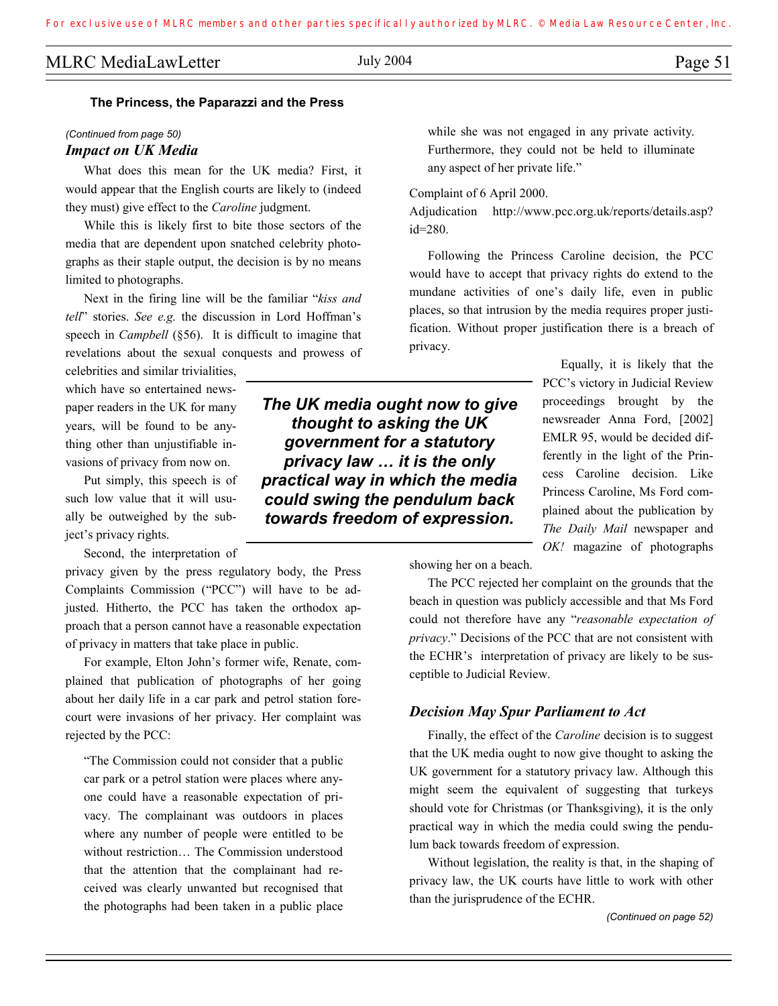# MLRC MediaLawLetter July 2004 Page 51

#### **The Princess, the Paparazzi and the Press**

### *(Continued from page 50) Impact on UK Media*

 What does this mean for the UK media? First, it would appear that the English courts are likely to (indeed they must) give effect to the *Caroline* judgment.

 While this is likely first to bite those sectors of the media that are dependent upon snatched celebrity photographs as their staple output, the decision is by no means limited to photographs.

 Next in the firing line will be the familiar "*kiss and tell*" stories. *See e.g.* the discussion in Lord Hoffman's speech in *Campbell* (§56). It is difficult to imagine that revelations about the sexual conquests and prowess of

celebrities and similar trivialities, which have so entertained newspaper readers in the UK for many years, will be found to be anything other than unjustifiable invasions of privacy from now on.

 Put simply, this speech is of such low value that it will usually be outweighed by the subject's privacy rights.

Second, the interpretation of

privacy given by the press regulatory body, the Press Complaints Commission ("PCC") will have to be adjusted. Hitherto, the PCC has taken the orthodox approach that a person cannot have a reasonable expectation of privacy in matters that take place in public.

 For example, Elton John's former wife, Renate, complained that publication of photographs of her going about her daily life in a car park and petrol station forecourt were invasions of her privacy. Her complaint was rejected by the PCC:

"The Commission could not consider that a public car park or a petrol station were places where anyone could have a reasonable expectation of privacy. The complainant was outdoors in places where any number of people were entitled to be without restriction… The Commission understood that the attention that the complainant had received was clearly unwanted but recognised that the photographs had been taken in a public place

*The UK media ought now to give thought to asking the UK government for a statutory privacy law … it is the only practical way in which the media could swing the pendulum back to reactive use of MLRC* members and other parties specifically authorized by MLRC. © Media Law Resource Center, Inc.<br> **The Princess, the Paparazzi and the Press**<br>
(Construct for more specifical to the UK media? First, it

while she was not engaged in any private activity. Furthermore, they could not be held to illuminate any aspect of her private life."

Complaint of 6 April 2000.

Adjudication http://www.pcc.org.uk/reports/details.asp? id=280.

 Following the Princess Caroline decision, the PCC would have to accept that privacy rights do extend to the mundane activities of one's daily life, even in public places, so that intrusion by the media requires proper justification. Without proper justification there is a breach of privacy.

> Equally, it is likely that the PCC's victory in Judicial Review proceedings brought by the newsreader Anna Ford, [2002] EMLR 95, would be decided differently in the light of the Princess Caroline decision. Like Princess Caroline, Ms Ford complained about the publication by *The Daily Mail* newspaper and *OK!* magazine of photographs

showing her on a beach.

 The PCC rejected her complaint on the grounds that the beach in question was publicly accessible and that Ms Ford could not therefore have any "*reasonable expectation of privacy*." Decisions of the PCC that are not consistent with the ECHR's interpretation of privacy are likely to be susceptible to Judicial Review.

#### *Decision May Spur Parliament to Act*

 Finally, the effect of the *Caroline* decision is to suggest that the UK media ought to now give thought to asking the UK government for a statutory privacy law. Although this might seem the equivalent of suggesting that turkeys should vote for Christmas (or Thanksgiving), it is the only practical way in which the media could swing the pendulum back towards freedom of expression.

 Without legislation, the reality is that, in the shaping of privacy law, the UK courts have little to work with other than the jurisprudence of the ECHR.